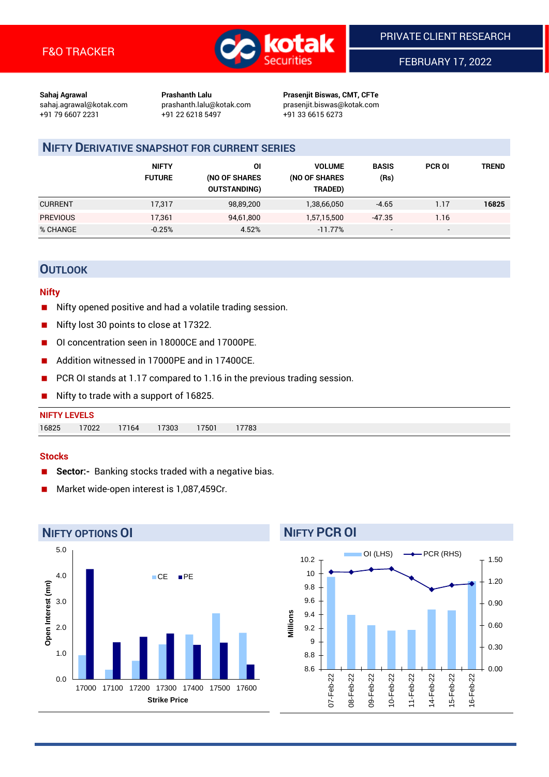

FEBRUARY 17, 2022

**Sahaj Agrawal Prashanth Lalu Prasenjit Biswas, CMT, CFTe** +91 79 6607 2231 +91 22 6218 5497 +91 33 6615 6273

sahaj.agrawal@kotak.com [prashanth.lalu@kotak.com](mailto:prashanth.lalu@kotak.com) prasenjit.biswas@kotak.com

# **NIFTY DERIVATIVE SNAPSHOT FOR CURRENT SERIES**

|                 | <b>NIFTY</b><br><b>FUTURE</b> | ΟI<br>(NO OF SHARES<br><b>OUTSTANDING)</b> | <b>VOLUME</b><br>(NO OF SHARES<br>TRADED) | <b>BASIS</b><br>(Rs)     | <b>PCR OI</b>            | TREND |
|-----------------|-------------------------------|--------------------------------------------|-------------------------------------------|--------------------------|--------------------------|-------|
| <b>CURRENT</b>  | 17,317                        | 98,89,200                                  | 1,38,66,050                               | $-4.65$                  | 1.17                     | 16825 |
| <b>PREVIOUS</b> | 17.361                        | 94,61,800                                  | 1,57,15,500                               | -47.35                   | 1.16                     |       |
| % CHANGE        | $-0.25%$                      | 4.52%                                      | $-11.77%$                                 | $\overline{\phantom{0}}$ | $\overline{\phantom{0}}$ |       |

# **OUTLOOK**

### **Nifty**

- Nifty opened positive and had a volatile trading session.
- Nifty lost 30 points to close at 17322.
- OI concentration seen in 18000CE and 17000PE.
- Addition witnessed in 17000PE and in 17400CE.
- PCR OI stands at 1.17 compared to 1.16 in the previous trading session.
- Nifty to trade with a support of 16825.

#### **Stocks**

- **Sector:-** Banking stocks traded with a negative bias.
- Market wide-open interest is 1,087,459Cr.



# **NIFTY PCR OI**

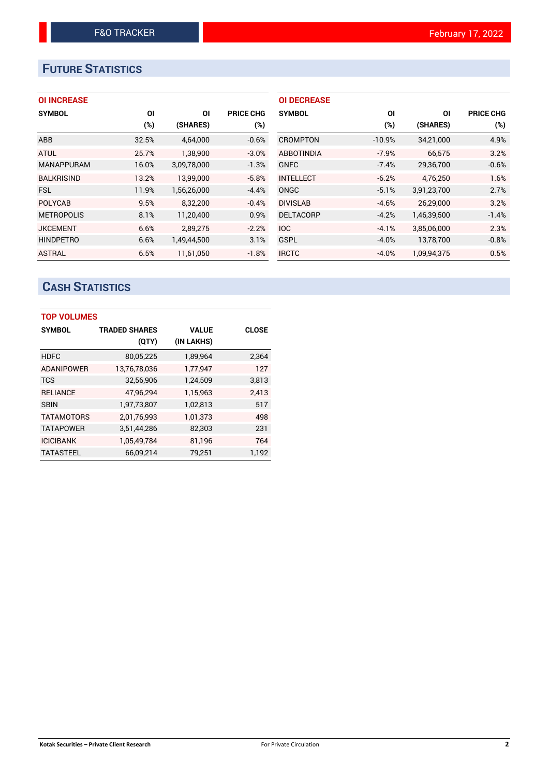# **FUTURE STATISTICS**

## **OI INCREASE**

| <b>SYMBOL</b>     | ΟI    | ΟI          | <b>PRICE CHG</b> |
|-------------------|-------|-------------|------------------|
|                   | (%)   | (SHARES)    | (%)              |
| ABB               | 32.5% | 4,64,000    | $-0.6%$          |
| <b>ATUL</b>       | 25.7% | 1,38,900    | $-3.0%$          |
| <b>MANAPPURAM</b> | 16.0% | 3,09,78,000 | $-1.3%$          |
| <b>BALKRISIND</b> | 13.2% | 13,99,000   | $-5.8%$          |
| <b>FSL</b>        | 11.9% | 1,56,26,000 | $-4.4%$          |
| <b>POLYCAB</b>    | 9.5%  | 8,32,200    | $-0.4%$          |
| <b>METROPOLIS</b> | 8.1%  | 11,20,400   | 0.9%             |
| <b>JKCEMENT</b>   | 6.6%  | 2,89,275    | $-2.2%$          |
| <b>HINDPETRO</b>  | 6.6%  | 1,49,44,500 | 3.1%             |
| <b>ASTRAL</b>     | 6.5%  | 11.61.050   | $-1.8%$          |

| <b>OI DECREASE</b> |          |             |                  |
|--------------------|----------|-------------|------------------|
| <b>SYMBOL</b>      | ΟI       | ΟI          | <b>PRICE CHG</b> |
|                    | (%)      | (SHARES)    | $(\%)$           |
| CROMPTON           | $-10.9%$ | 34,21,000   | 4.9%             |
| <b>ABBOTINDIA</b>  | $-7.9%$  | 66.575      | 3.2%             |
| <b>GNFC</b>        | $-7.4%$  | 29,36,700   | $-0.6%$          |
| <b>INTELLECT</b>   | $-6.2%$  | 4,76,250    | 1.6%             |
| ONGC               | $-5.1%$  | 3,91,23,700 | 2.7%             |
| <b>DIVISLAB</b>    | $-4.6%$  | 26,29,000   | 3.2%             |
| <b>DELTACORP</b>   | $-4.2%$  | 1,46,39,500 | $-1.4%$          |
| IOC.               | $-4.1%$  | 3,85,06,000 | 2.3%             |
| GSPL               | $-4.0%$  | 13,78,700   | $-0.8%$          |
| <b>IRCTC</b>       | $-4.0%$  | 1,09,94,375 | 0.5%             |

# **CASH STATISTICS**

| <b>TOP VOLUMES</b> |                      |              |              |
|--------------------|----------------------|--------------|--------------|
| <b>SYMBOL</b>      | <b>TRADED SHARES</b> | <b>VALUE</b> | <b>CLOSE</b> |
|                    | (QTY)                | (IN LAKHS)   |              |
| <b>HDFC</b>        | 80,05,225            | 1,89,964     | 2,364        |
| <b>ADANIPOWER</b>  | 13,76,78,036         | 1,77,947     | 127          |
| <b>TCS</b>         | 32,56,906            | 1,24,509     | 3,813        |
| <b>RELIANCE</b>    | 47,96,294            | 1,15,963     | 2,413        |
| <b>SBIN</b>        | 1,97,73,807          | 1,02,813     | 517          |
| <b>TATAMOTORS</b>  | 2,01,76,993          | 1,01,373     | 498          |
| <b>TATAPOWER</b>   | 3,51,44,286          | 82,303       | 231          |
| <b>ICICIBANK</b>   | 1,05,49,784          | 81,196       | 764          |
| <b>TATASTEEL</b>   | 66.09.214            | 79.251       | 1.192        |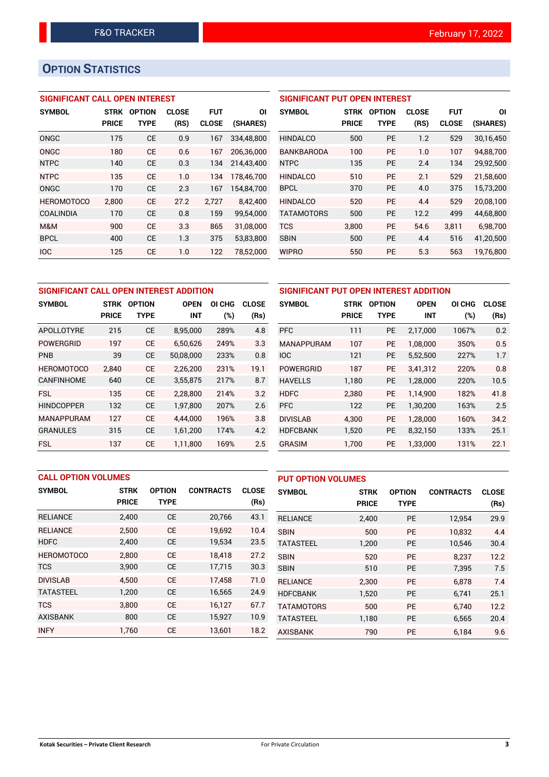# **OPTION STATISTICS**

## **SIGNIFICANT CALL OPEN INTEREST**

| <b>SYMBOL</b>     | <b>STRK</b>  | <b>OPTION</b> | <b>CLOSE</b> | <b>FUT</b>   | ΟI         |
|-------------------|--------------|---------------|--------------|--------------|------------|
|                   | <b>PRICE</b> | TYPE          | (RS)         | <b>CLOSE</b> | (SHARES)   |
| ONGC              | 175          | <b>CE</b>     | 0.9          | 167          | 334.48.800 |
| ONGC              | 180          | CF            | 0.6          | 167          | 206,36,000 |
| <b>NTPC</b>       | 140          | <b>CE</b>     | 0.3          | 134          | 214,43,400 |
| <b>NTPC</b>       | 135          | СE            | 1.0          | 134          | 178,46,700 |
| ONGC              | 170          | CE            | 2.3          | 167          | 154,84,700 |
| <b>HEROMOTOCO</b> | 2,800        | СE            | 27.2         | 2,727        | 8,42,400   |
| <b>COALINDIA</b>  | 170          | CE            | 0.8          | 159          | 99,54,000  |
| M&M               | 900          | CE            | 3.3          | 865          | 31,08,000  |
| <b>BPCL</b>       | 400          | CE            | 1.3          | 375          | 53,83,800  |
| <b>IOC</b>        | 125          | CE            | 1.0          | 122          | 78.52.000  |

| <b>SIGNIFICANT PUT OPEN INTEREST</b> |              |               |              |              |           |  |  |  |
|--------------------------------------|--------------|---------------|--------------|--------------|-----------|--|--|--|
| <b>SYMBOL</b>                        | <b>STRK</b>  | <b>OPTION</b> | <b>CLOSE</b> | FUT          | ΟI        |  |  |  |
|                                      | <b>PRICE</b> | TYPE          | (RS)         | <b>CLOSE</b> | (SHARES)  |  |  |  |
| <b>HINDALCO</b>                      | 500          | PF            | 1.2          | 529          | 30,16,450 |  |  |  |
| BANKBARODA                           | 100          | PF            | 1.0          | 107          | 94,88,700 |  |  |  |
| <b>NTPC</b>                          | 135          | PF            | 24           | 134          | 29,92,500 |  |  |  |
| HINDAI CO                            | 510          | PF            | 2.1          | 529          | 21,58,600 |  |  |  |
| <b>BPCL</b>                          | 370          | PF            | 4.0          | 375          | 15,73,200 |  |  |  |
| <b>HINDALCO</b>                      | 520          | PF            | 4.4          | 529          | 20,08,100 |  |  |  |
| <b>TATAMOTORS</b>                    | 500          | PF            | 12.2         | 499          | 44,68,800 |  |  |  |
| <b>TCS</b>                           | 3,800        | <b>PE</b>     | 54.6         | 3.811        | 6,98,700  |  |  |  |
| <b>SBIN</b>                          | 500          | PF            | 4.4          | 516          | 41,20,500 |  |  |  |
| <b>WIPRO</b>                         | 550          | PF            | 5.3          | 563          | 19.76.800 |  |  |  |

| SIGNIFICANT CALL OPEN INTEREST ADDITION |                             |                              |                           |        |              | <b>SIGNIFICANT PUT OPEN INTEREST A</b> |                             |                              |     |
|-----------------------------------------|-----------------------------|------------------------------|---------------------------|--------|--------------|----------------------------------------|-----------------------------|------------------------------|-----|
| <b>SYMBOL</b>                           | <b>STRK</b><br><b>PRICE</b> | <b>OPTION</b><br><b>TYPE</b> | <b>OPEN</b><br><b>INT</b> | OI CHG | <b>CLOSE</b> | <b>SYMBOL</b>                          | <b>STRK</b><br><b>PRICE</b> | <b>OPTION</b><br><b>TYPE</b> |     |
|                                         |                             |                              |                           | (%)    | (Rs)         |                                        |                             |                              |     |
| APOLLOTYRE                              | 215                         | <b>CE</b>                    | 8,95,000                  | 289%   | 4.8          | <b>PFC</b>                             | 111                         | <b>PE</b>                    | 2,1 |
| <b>POWERGRID</b>                        | 197                         | <b>CE</b>                    | 6.50.626                  | 249%   | 3.3          | <b>MANAPPURAM</b>                      | 107                         | <b>PE</b>                    | 1,0 |
| PNB                                     | 39                          | <b>CE</b>                    | 50,08,000                 | 233%   | 0.8          | <b>IOC</b>                             | 121                         | <b>PE</b>                    | 5,5 |
| <b>HEROMOTOCO</b>                       | 2.840                       | <b>CE</b>                    | 2.26.200                  | 231%   | 19.1         | <b>POWERGRID</b>                       | 187                         | <b>PE</b>                    | 3,4 |
| <b>CANFINHOME</b>                       | 640                         | <b>CE</b>                    | 3,55,875                  | 217%   | 8.7          | <b>HAVELLS</b>                         | 1,180                       | <b>PE</b>                    | 1,2 |
| <b>FSL</b>                              | 135                         | <b>CE</b>                    | 2,28,800                  | 214%   | 3.2          | <b>HDFC</b>                            | 2,380                       | <b>PE</b>                    | 1,1 |
| <b>HINDCOPPER</b>                       | 132                         | <b>CE</b>                    | 1,97,800                  | 207%   | 2.6          | <b>PFC</b>                             | 122                         | <b>PE</b>                    | 1,3 |
| <b>MANAPPURAM</b>                       | 127                         | <b>CE</b>                    | 4.44.000                  | 196%   | 3.8          | <b>DIVISLAB</b>                        | 4.300                       | <b>PE</b>                    | 1,2 |
| <b>GRANULES</b>                         | 315                         | <b>CE</b>                    | 1,61,200                  | 174%   | 4.2          | <b>HDFCBANK</b>                        | 1,520                       | <b>PE</b>                    | 8,3 |
| <b>FSL</b>                              | 137                         | <b>CE</b>                    | 1.11.800                  | 169%   | 2.5          | <b>GRASIM</b>                          | 1.700                       | <b>PE</b>                    | 1,3 |

| SIGNIFICANT PUT OPEN INTEREST ADDITION |              |               |             |        |              |  |  |  |  |
|----------------------------------------|--------------|---------------|-------------|--------|--------------|--|--|--|--|
| <b>SYMBOL</b>                          | <b>STRK</b>  | <b>OPTION</b> | <b>OPEN</b> | OI CHG | <b>CLOSE</b> |  |  |  |  |
|                                        | <b>PRICE</b> | <b>TYPE</b>   | INT         | $(\%)$ | (Rs)         |  |  |  |  |
| <b>PFC</b>                             | 111          | <b>PE</b>     | 2,17,000    | 1067%  | 0.2          |  |  |  |  |
| <b>MANAPPURAM</b>                      | 107          | <b>PE</b>     | 1,08,000    | 350%   | 0.5          |  |  |  |  |
| <b>IOC</b>                             | 121          | <b>PE</b>     | 5,52,500    | 227%   | 1.7          |  |  |  |  |
| <b>POWERGRID</b>                       | 187          | <b>PE</b>     | 3,41,312    | 220%   | 0.8          |  |  |  |  |
| <b>HAVELLS</b>                         | 1,180        | <b>PE</b>     | 1,28,000    | 220%   | 10.5         |  |  |  |  |
| <b>HDFC</b>                            | 2,380        | PE            | 1,14,900    | 182%   | 41.8         |  |  |  |  |
| <b>PFC</b>                             | 122          | <b>PE</b>     | 1,30,200    | 163%   | 2.5          |  |  |  |  |
| <b>DIVISLAB</b>                        | 4,300        | <b>PE</b>     | 1,28,000    | 160%   | 34.2         |  |  |  |  |
| <b>HDFCBANK</b>                        | 1,520        | <b>PE</b>     | 8,32,150    | 133%   | 25.1         |  |  |  |  |
| GRASIM                                 | 1,700        | <b>PE</b>     | 1,33,000    | 131%   | 22.1         |  |  |  |  |

| <b>CALL OPTION VOLUMES</b> |              |               |                  |              | <b>PUT OPTION VOLUMES</b> |              |               |                  |              |
|----------------------------|--------------|---------------|------------------|--------------|---------------------------|--------------|---------------|------------------|--------------|
| <b>SYMBOL</b>              | <b>STRK</b>  | <b>OPTION</b> | <b>CONTRACTS</b> | <b>CLOSE</b> | <b>SYMBOL</b>             | <b>STRK</b>  | <b>OPTION</b> | <b>CONTRACTS</b> | <b>CLOSE</b> |
|                            | <b>PRICE</b> | <b>TYPE</b>   |                  | (Rs)         |                           | <b>PRICE</b> | <b>TYPE</b>   |                  | (Rs)         |
| <b>RELIANCE</b>            | 2,400        | <b>CE</b>     | 20,766           | 43.1         | <b>RELIANCE</b>           | 2,400        | <b>PE</b>     | 12,954           | 29.9         |
| <b>RELIANCE</b>            | 2,500        | <b>CE</b>     | 19,692           | 10.4         | <b>SBIN</b>               | 500          | <b>PE</b>     | 10.832           | 4.4          |
| <b>HDFC</b>                | 2,400        | <b>CE</b>     | 19,534           | 23.5         | <b>TATASTEEL</b>          | 1,200        | <b>PE</b>     | 10,546           | 30.4         |
| <b>HEROMOTOCO</b>          | 2,800        | <b>CE</b>     | 18.418           | 27.2         | <b>SBIN</b>               | 520          | <b>PE</b>     | 8.237            | 12.2         |
| <b>TCS</b>                 | 3,900        | <b>CE</b>     | 17,715           | 30.3         | <b>SBIN</b>               | 510          | <b>PE</b>     | 7,395            | 7.5          |
| <b>DIVISLAB</b>            | 4.500        | <b>CE</b>     | 17,458           | 71.0         | <b>RELIANCE</b>           | 2.300        | <b>PE</b>     | 6.878            | 7.4          |
| <b>TATASTEEL</b>           | 1,200        | <b>CE</b>     | 16,565           | 24.9         | <b>HDFCBANK</b>           | 1,520        | <b>PE</b>     | 6,741            | 25.1         |
| <b>TCS</b>                 | 3.800        | <b>CE</b>     | 16.127           | 67.7         | <b>TATAMOTORS</b>         | 500          | <b>PE</b>     | 6.740            | 12.2         |
| <b>AXISBANK</b>            | 800          | <b>CE</b>     | 15,927           | 10.9         | <b>TATASTEEL</b>          | 1,180        | <b>PE</b>     | 6,565            | 20.4         |
| <b>INFY</b>                | 1.760        | <b>CE</b>     | 13,601           | 18.2         | <b>AXISBANK</b>           | 790          | PE            | 6,184            | 9.6          |

### **Kotak Securities – Private Client Research** For Private Circulation **3**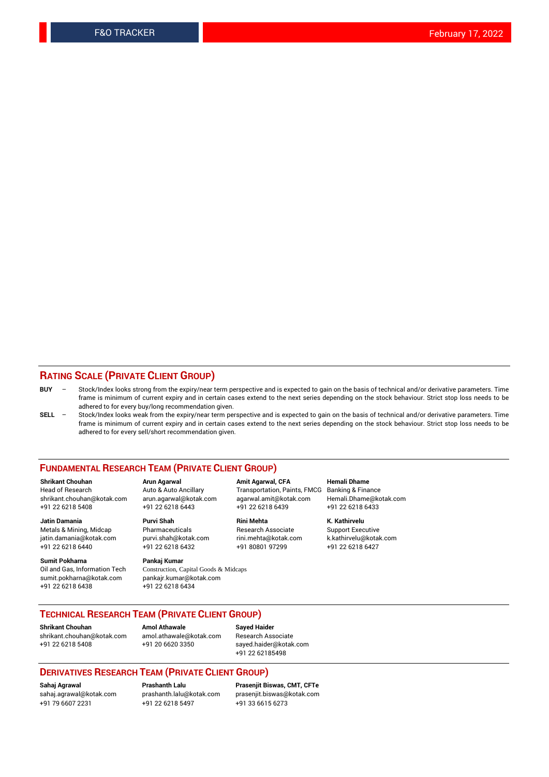## **RATING SCALE (PRIVATE CLIENT GROUP)**

- **BUY**  Stock/Index looks strong from the expiry/near term perspective and is expected to gain on the basis of technical and/or derivative parameters. Time frame is minimum of current expiry and in certain cases extend to the next series depending on the stock behaviour. Strict stop loss needs to be adhered to for every buy/long recommendation given.
- **SELL** Stock/Index looks weak from the expiry/near term perspective and is expected to gain on the basis of technical and/or derivative parameters. Time frame is minimum of current expiry and in certain cases extend to the next series depending on the stock behaviour. Strict stop loss needs to be adhered to for every sell/short recommendation given.

#### **FUNDAMENTAL RESEARCH TEAM (PRIVATE CLIENT GROUP)**

**Shrikant Chouhan Arun Agarwal Amit Agarwal, CFA Hemali Dhame** shrikant.chouhan@kotak.com arun.agarwal@kotak.com agarwal.amit@kotak.com Hemali.Dhame@kotak.com +91 22 6218 5408 +91 22 6218 6443 +91 22 6218 6439 +91 22 6218 6433

jatin.damania@kotak.com +91 22 6218 6440 +91 22 6218 6432 +91 80801 97299 +91 22 6218 6427

**Sumit Pokharna** Pankaj Kumar<br>Oil and Gas, Information Tech Construction, C sumit.pokharna@kotak.com pankajr.kumar@kotak.com +91 22 6218 6438 +91 22 6218 6434

**Jatin Damania Purvi Shah Rini Mehta K. Kathirvelu**

Construction, Capital Goods & Midcaps

Transportation, Paints, FMCG

Metals & Mining, Midcap Pharmaceuticals Pharmaceuticals Research Associate Support Executive<br>
iatin.damania@kotak.com purvi.shah@kotak.com rini.mehta@kotak.com k.kathirvelu@kotak.com

## **TECHNICAL RESEARCH TEAM (PRIVATE CLIENT GROUP)**

**Shrikant Chouhan Amol Athawale Sayed Haider** [shrikant.chouhan@kotak.com](mailto:shrikant.chouhan@kotak.com) [amol.athawale@kotak.com](mailto:amol.athawale@kotak.com) Research Associate +91 22 6218 5408 +91 20 6620 3350 [sayed.haider@kotak.com](mailto:sayed.haider@kotak.com)

+91 22 62185498

#### **DERIVATIVES RESEARCH TEAM (PRIVATE CLIENT GROUP)**

+91 79 6607 2231 +91 22 6218 5497 +91 33 6615 6273

**Sahaj Agrawal Prashanth Lalu Prasenjit Biswas, CMT, CFTe** [prasenjit.biswas@kotak.com](mailto:prasenjit.biswas@kotak.com)